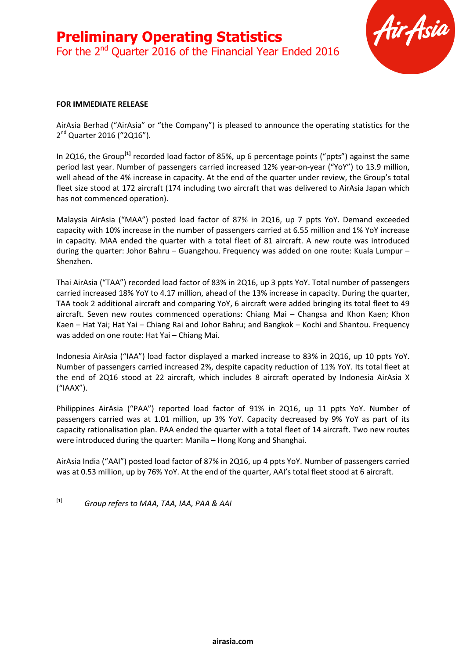

#### **FOR IMMEDIATE RELEASE**

AirAsia Berhad ("AirAsia" or "the Company") is pleased to announce the operating statistics for the 2<sup>nd</sup> Quarter 2016 ("2Q16").

In 2Q16, the Group<sup>[1]</sup> recorded load factor of 85%, up 6 percentage points ("ppts") against the same period last year. Number of passengers carried increased 12% year-on-year ("YoY") to 13.9 million, well ahead of the 4% increase in capacity. At the end of the quarter under review, the Group's total fleet size stood at 172 aircraft (174 including two aircraft that was delivered to AirAsia Japan which has not commenced operation).

Malaysia AirAsia ("MAA") posted load factor of 87% in 2Q16, up 7 ppts YoY. Demand exceeded capacity with 10% increase in the number of passengers carried at 6.55 million and 1% YoY increase in capacity. MAA ended the quarter with a total fleet of 81 aircraft. A new route was introduced during the quarter: Johor Bahru – Guangzhou. Frequency was added on one route: Kuala Lumpur – Shenzhen.

Thai AirAsia ("TAA") recorded load factor of 83% in 2Q16, up 3 ppts YoY. Total number of passengers carried increased 18% YoY to 4.17 million, ahead of the 13% increase in capacity. During the quarter, TAA took 2 additional aircraft and comparing YoY, 6 aircraft were added bringing its total fleet to 49 aircraft. Seven new routes commenced operations: Chiang Mai – Changsa and Khon Kaen; Khon Kaen – Hat Yai; Hat Yai – Chiang Rai and Johor Bahru; and Bangkok – Kochi and Shantou. Frequency was added on one route: Hat Yai – Chiang Mai.

Indonesia AirAsia ("IAA") load factor displayed a marked increase to 83% in 2Q16, up 10 ppts YoY. Number of passengers carried increased 2%, despite capacity reduction of 11% YoY. Its total fleet at the end of 2Q16 stood at 22 aircraft, which includes 8 aircraft operated by Indonesia AirAsia X ("IAAX").

Philippines AirAsia ("PAA") reported load factor of 91% in 2Q16, up 11 ppts YoY. Number of passengers carried was at 1.01 million, up 3% YoY. Capacity decreased by 9% YoY as part of its capacity rationalisation plan. PAA ended the quarter with a total fleet of 14 aircraft. Two new routes were introduced during the quarter: Manila – Hong Kong and Shanghai.

AirAsia India ("AAI") posted load factor of 87% in 2Q16, up 4 ppts YoY. Number of passengers carried was at 0.53 million, up by 76% YoY. At the end of the quarter, AAI's total fleet stood at 6 aircraft.

[1] *Group refers to MAA, TAA, IAA, PAA & AAI*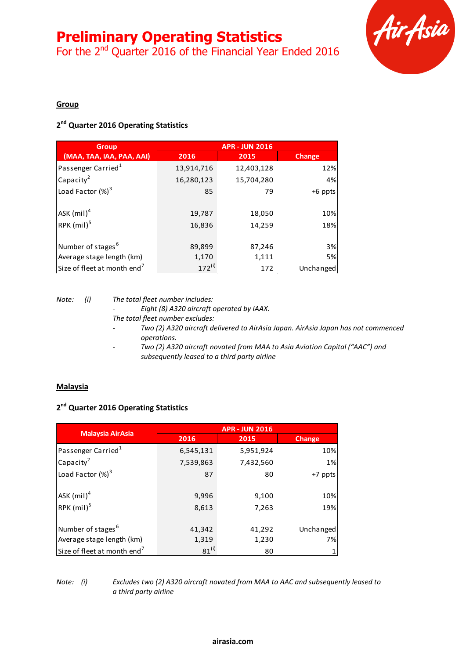## **Preliminary Operating Statistics**

For the 2<sup>nd</sup> Quarter 2016 of the Financial Year Ended 2016



### **Group**

## **2 nd Quarter 2016 Operating Statistics**

| <b>Group</b>                            | <b>APR - JUN 2016</b> |            |           |  |
|-----------------------------------------|-----------------------|------------|-----------|--|
| (MAA, TAA, IAA, PAA, AAI)               | 2016                  | 2015       | Change    |  |
| Passenger Carried <sup>1</sup>          | 13,914,716            | 12,403,128 | 12%       |  |
| Capacity <sup>2</sup>                   | 16,280,123            | 15,704,280 | 4%        |  |
| Load Factor $(\%)^3$                    | 85                    | 79         | +6 ppts   |  |
| ASK $(mil)^4$                           | 19,787                | 18,050     | 10%       |  |
| RPK (mil) <sup>5</sup>                  | 16,836                | 14,259     | 18%       |  |
| Number of stages <sup>6</sup>           | 89,899                | 87,246     | 3%        |  |
| Average stage length (km)               | 1,170                 | 1,111      | 5%        |  |
| Size of fleet at month end <sup>7</sup> | $172^{(i)}$           | 172        | Unchanged |  |

*Note: (i) The total fleet number includes:*

*- Eight (8) A320 aircraft operated by IAAX. The total fleet number excludes:*

- *- Two (2) A320 aircraft delivered to AirAsia Japan. AirAsia Japan has not commenced operations.*
- *- Two (2) A320 aircraft novated from MAA to Asia Aviation Capital ("AAC") and subsequently leased to a third party airline*

### **Malaysia**

### **2 nd Quarter 2016 Operating Statistics**

|                                         | <b>APR - JUN 2016</b> |           |               |  |  |
|-----------------------------------------|-----------------------|-----------|---------------|--|--|
| <b>Malaysia AirAsia</b>                 | 2016<br>2015          |           | <b>Change</b> |  |  |
| Passenger Carried <sup>1</sup>          | 6,545,131             | 5,951,924 | 10%           |  |  |
| Capacity <sup>2</sup>                   | 7,539,863             | 7,432,560 | 1%            |  |  |
| Load Factor $(\%)^3$                    | 87                    | 80        | +7 ppts       |  |  |
| ASK $(mil)^4$                           | 9,996                 | 9,100     | 10%           |  |  |
| RPK $(mil)^5$                           | 8,613                 | 7,263     | 19%           |  |  |
| Number of stages <sup>6</sup>           | 41,342                | 41,292    | Unchanged     |  |  |
| Average stage length (km)               | 1,319                 | 1,230     | 7%            |  |  |
| Size of fleet at month end <sup>7</sup> | $81^{(i)}$            | 80        |               |  |  |

*Note: (i) Excludes two (2) A320 aircraft novated from MAA to AAC and subsequently leased to a third party airline*

#### **airasia.com**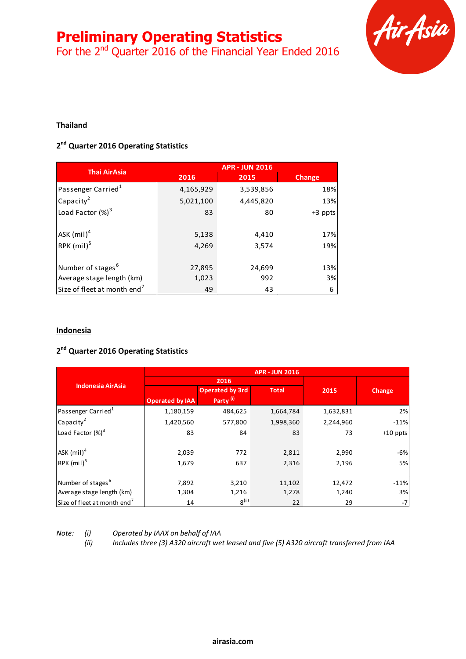# **Preliminary Operating Statistics**

For the 2<sup>nd</sup> Quarter 2016 of the Financial Year Ended 2016



## **Thailand**

## **2 nd Quarter 2016 Operating Statistics**

| <b>Thai AirAsia</b>                     | <b>APR - JUN 2016</b> |           |         |  |
|-----------------------------------------|-----------------------|-----------|---------|--|
|                                         | 2016                  | 2015      |         |  |
| Passenger Carried <sup>1</sup>          | 4,165,929             | 3,539,856 | 18%     |  |
| Capacity <sup>2</sup>                   | 5,021,100             | 4,445,820 | 13%     |  |
| Load Factor $(\%)^3$                    | 83                    | 80        | +3 ppts |  |
| ASK $(mil)^4$                           | 5,138                 | 4,410     | 17%     |  |
| RPK $(mil)^5$                           | 4,269                 | 3,574     | 19%     |  |
| Number of stages <sup>6</sup>           | 27,895                | 24,699    | 13%     |  |
| Average stage length (km)               | 1,023                 | 992       | 3%      |  |
| Size of fleet at month end <sup>7</sup> | 49                    | 43        | 6       |  |

### **Indonesia**

## **2 nd Quarter 2016 Operating Statistics**

|                                         | <b>APR - JUN 2016</b>  |                        |              |           |            |
|-----------------------------------------|------------------------|------------------------|--------------|-----------|------------|
| <b>Indonesia AirAsia</b>                | 2016                   |                        |              |           |            |
|                                         |                        | <b>Operated by 3rd</b> | <b>Total</b> | 2015      | Change     |
|                                         | <b>Operated by IAA</b> | Party <sup>(i)</sup>   |              |           |            |
| Passenger Carried <sup>1</sup>          | 1,180,159              | 484,625                | 1,664,784    | 1,632,831 | 2%         |
| Capacity <sup>2</sup>                   | 1,420,560              | 577,800                | 1,998,360    | 2,244,960 | $-11%$     |
| Load Factor $(\%)^3$                    | 83                     | 84                     | 83           | 73        | $+10$ ppts |
| ASK $(mil)^4$                           | 2,039                  | 772                    | 2,811        | 2,990     | $-6%$      |
| $RPK$ (mil) <sup>5</sup>                | 1,679                  | 637                    | 2,316        | 2,196     | 5%         |
| Number of stages <sup>6</sup>           | 7,892                  | 3,210                  | 11,102       | 12,472    | $-11%$     |
| Average stage length (km)               | 1,304                  | 1,216                  | 1,278        | 1,240     | 3%         |
| Size of fleet at month end <sup>7</sup> | 14                     | $8^{(ii)}$             | 22           | 29        | -7         |
|                                         |                        |                        |              |           |            |

*Note: (i) Operated by IAAX on behalf of IAA*

*(ii) Includes three (3) A320 aircraft wet leased and five (5) A320 aircraft transferred from IAA*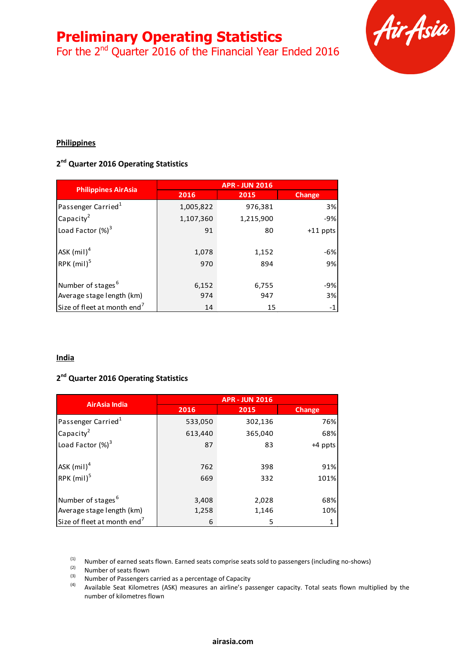## **Preliminary Operating Statistics**

For the 2<sup>nd</sup> Quarter 2016 of the Financial Year Ended 2016



## **Philippines**

## **2 nd Quarter 2016 Operating Statistics**

|                                         | <b>APR - JUN 2016</b> |           |               |  |  |
|-----------------------------------------|-----------------------|-----------|---------------|--|--|
| <b>Philippines AirAsia</b>              | 2016                  | 2015      | <b>Change</b> |  |  |
| Passenger Carried <sup>1</sup>          | 1,005,822             | 976,381   | 3%            |  |  |
| Capacity <sup>2</sup>                   | 1,107,360             | 1,215,900 | $-9%$         |  |  |
| Load Factor $(\%)^3$                    | 91                    | 80        | $+11$ ppts    |  |  |
| ASK $(mil)^4$                           | 1,078                 | 1,152     | $-6%$         |  |  |
| RPK $(mil)^5$                           | 970                   | 894       | 9%            |  |  |
| Number of stages <sup>6</sup>           | 6,152                 | 6,755     | -9%           |  |  |
| Average stage length (km)               | 974                   | 947       | 3%            |  |  |
| Size of fleet at month end <sup>7</sup> | 14                    | 15        | $-1$          |  |  |

### **India**

### **2 nd Quarter 2016 Operating Statistics**

| <b>AirAsia India</b>                    | <b>APR - JUN 2016</b> |         |         |  |  |
|-----------------------------------------|-----------------------|---------|---------|--|--|
|                                         | 2016                  | 2015    |         |  |  |
| Passenger Carried <sup>1</sup>          | 533,050               | 302,136 | 76%     |  |  |
| Capacity <sup>2</sup>                   | 613,440               | 365,040 | 68%     |  |  |
| Load Factor $(\%)^3$                    | 87                    | 83      | +4 ppts |  |  |
| ASK $(mil)^4$                           | 762                   | 398     | 91%     |  |  |
| RPK $(mil)^5$                           | 669                   | 332     | 101%    |  |  |
| Number of stages <sup>6</sup>           | 3,408                 | 2,028   | 68%     |  |  |
| Average stage length (km)               | 1,258                 | 1,146   | 10%     |  |  |
| Size of fleet at month end <sup>7</sup> | 5<br>6                |         |         |  |  |

 $(1)$  Number of earned seats flown. Earned seats comprise seats sold to passengers (including no-shows)

 $\frac{1}{(3)}$  Number of seats flown

(3) Number of Passengers carried as a percentage of Capacity<br>(4) Available Soat Kilometres (ASK) moneures an airline's na

(4) Available Seat Kilometres (ASK) measures an airline's passenger capacity. Total seats flown multiplied by the number of kilometres flown